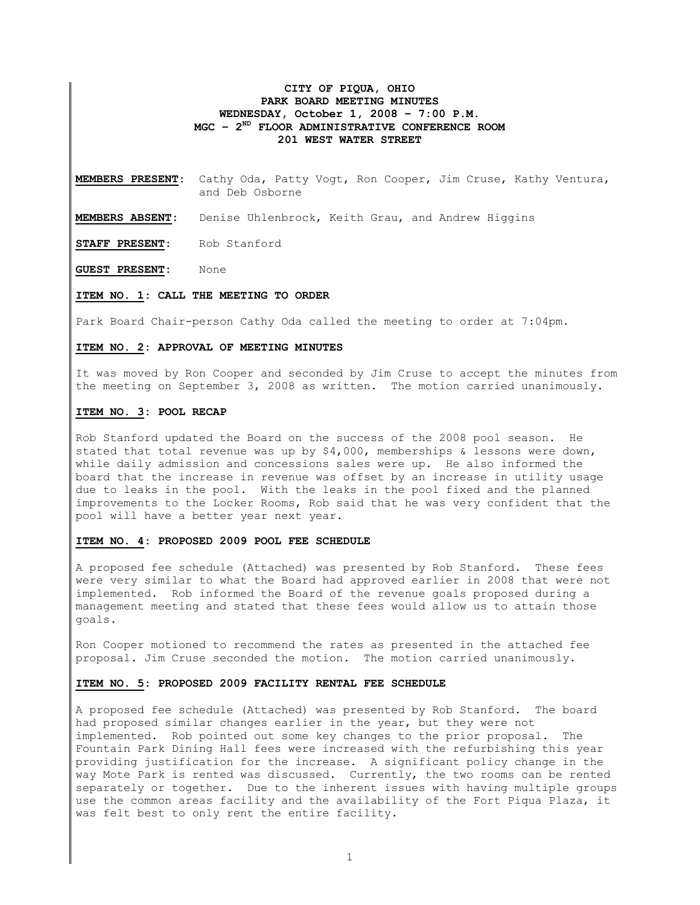# **CITY OF PIQUA, OHIO PARK BOARD MEETING MINUTES WEDNESDAY, October 1, 2008 – 7:00 P.M. MGC – 2ND FLOOR ADMINISTRATIVE CONFERENCE ROOM 201 WEST WATER STREET**

**MEMBERS PRESENT:** Cathy Oda, Patty Vogt, Ron Cooper, Jim Cruse, Kathy Ventura, and Deb Osborne

**MEMBERS ABSENT:** Denise Uhlenbrock, Keith Grau, and Andrew Higgins

**STAFF PRESENT:** Rob Stanford

**GUEST PRESENT:** None

### **ITEM NO. 1: CALL THE MEETING TO ORDER**

Park Board Chair-person Cathy Oda called the meeting to order at 7:04pm.

### **ITEM NO. 2: APPROVAL OF MEETING MINUTES**

It was moved by Ron Cooper and seconded by Jim Cruse to accept the minutes from the meeting on September 3, 2008 as written. The motion carried unanimously.

# **ITEM NO. 3: POOL RECAP**

Rob Stanford updated the Board on the success of the 2008 pool season. He stated that total revenue was up by \$4,000, memberships & lessons were down, while daily admission and concessions sales were up. He also informed the board that the increase in revenue was offset by an increase in utility usage due to leaks in the pool. With the leaks in the pool fixed and the planned improvements to the Locker Rooms, Rob said that he was very confident that the pool will have a better year next year.

# **ITEM NO. 4: PROPOSED 2009 POOL FEE SCHEDULE**

A proposed fee schedule (Attached) was presented by Rob Stanford. These fees were very similar to what the Board had approved earlier in 2008 that were not implemented. Rob informed the Board of the revenue goals proposed during a management meeting and stated that these fees would allow us to attain those goals.

Ron Cooper motioned to recommend the rates as presented in the attached fee proposal. Jim Cruse seconded the motion. The motion carried unanimously.

### **ITEM NO. 5: PROPOSED 2009 FACILITY RENTAL FEE SCHEDULE**

A proposed fee schedule (Attached) was presented by Rob Stanford. The board had proposed similar changes earlier in the year, but they were not implemented. Rob pointed out some key changes to the prior proposal. The Fountain Park Dining Hall fees were increased with the refurbishing this year providing justification for the increase. A significant policy change in the way Mote Park is rented was discussed. Currently, the two rooms can be rented separately or together. Due to the inherent issues with having multiple groups use the common areas facility and the availability of the Fort Piqua Plaza, it was felt best to only rent the entire facility.